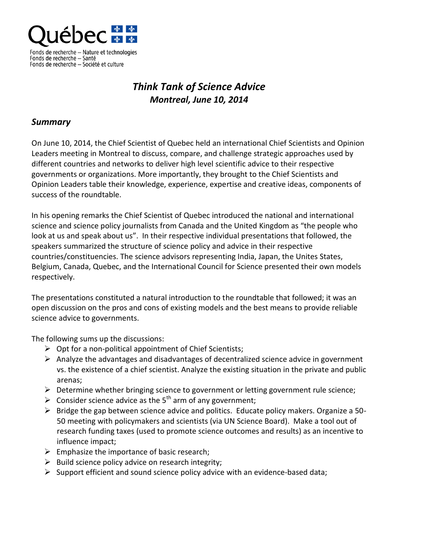

Fonds de récherche – Sance<br>Fonds de recherche – Société et culture

## *Think Tank of Science Advice Montreal, June 10, 2014*

## *Summary*

On June 10, 2014, the Chief Scientist of Quebec held an international Chief Scientists and Opinion Leaders meeting in Montreal to discuss, compare, and challenge strategic approaches used by different countries and networks to deliver high level scientific advice to their respective governments or organizations. More importantly, they brought to the Chief Scientists and Opinion Leaders table their knowledge, experience, expertise and creative ideas, components of success of the roundtable.

In his opening remarks the Chief Scientist of Quebec introduced the national and international science and science policy journalists from Canada and the United Kingdom as "the people who look at us and speak about us". In their respective individual presentations that followed, the speakers summarized the structure of science policy and advice in their respective countries/constituencies. The science advisors representing India, Japan, the Unites States, Belgium, Canada, Quebec, and the International Council for Science presented their own models respectively.

The presentations constituted a natural introduction to the roundtable that followed; it was an open discussion on the pros and cons of existing models and the best means to provide reliable science advice to governments.

The following sums up the discussions:

- $\triangleright$  Opt for a non-political appointment of Chief Scientists;
- $\triangleright$  Analyze the advantages and disadvantages of decentralized science advice in government vs. the existence of a chief scientist. Analyze the existing situation in the private and public arenas;
- $\triangleright$  Determine whether bringing science to government or letting government rule science;
- $\triangleright$  Consider science advice as the 5<sup>th</sup> arm of any government;
- $\triangleright$  Bridge the gap between science advice and politics. Educate policy makers. Organize a 50-50 meeting with policymakers and scientists (via UN Science Board). Make a tool out of research funding taxes (used to promote science outcomes and results) as an incentive to influence impact;
- $\triangleright$  Emphasize the importance of basic research;
- $\triangleright$  Build science policy advice on research integrity;
- $\triangleright$  Support efficient and sound science policy advice with an evidence-based data;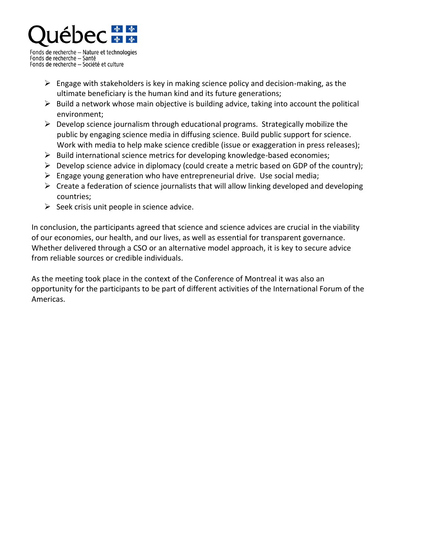

Fonds de recherche - Nature et technologies Fonds de recherche — Santé Fonds de recherche - Société et culture

- $\triangleright$  Engage with stakeholders is key in making science policy and decision-making, as the ultimate beneficiary is the human kind and its future generations;
- $\triangleright$  Build a network whose main objective is building advice, taking into account the political environment;
- $\triangleright$  Develop science journalism through educational programs. Strategically mobilize the public by engaging science media in diffusing science. Build public support for science. Work with media to help make science credible (issue or exaggeration in press releases);
- $\triangleright$  Build international science metrics for developing knowledge-based economies;
- $\triangleright$  Develop science advice in diplomacy (could create a metric based on GDP of the country);
- $\triangleright$  Engage young generation who have entrepreneurial drive. Use social media;
- $\triangleright$  Create a federation of science journalists that will allow linking developed and developing countries;
- $\triangleright$  Seek crisis unit people in science advice.

In conclusion, the participants agreed that science and science advices are crucial in the viability of our economies, our health, and our lives, as well as essential for transparent governance. Whether delivered through a CSO or an alternative model approach, it is key to secure advice from reliable sources or credible individuals.

As the meeting took place in the context of the Conference of Montreal it was also an opportunity for the participants to be part of different activities of the International Forum of the Americas.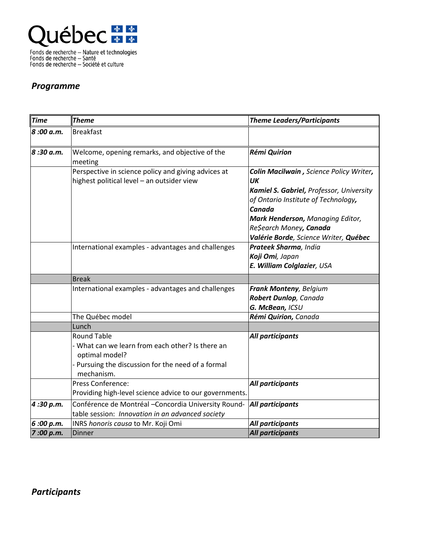

Fonds de recherche — Nature et technologies<br>Fonds de recherche — Santé<br>Fonds de recherche — Société et culture

## *Programme*

| <b>Time</b> | <b>Theme</b>                                                                                                                                               | <b>Theme Leaders/Participants</b>                                                                                                                                                                         |
|-------------|------------------------------------------------------------------------------------------------------------------------------------------------------------|-----------------------------------------------------------------------------------------------------------------------------------------------------------------------------------------------------------|
| 8:00 a.m.   | <b>Breakfast</b>                                                                                                                                           |                                                                                                                                                                                                           |
| 8:30 a.m.   | Welcome, opening remarks, and objective of the<br>meeting                                                                                                  | <b>Rémi Quirion</b>                                                                                                                                                                                       |
|             | Perspective in science policy and giving advices at<br>highest political level - an outsider view                                                          | Colin Macilwain, Science Policy Writer,<br>UK<br>Kamiel S. Gabriel, Professor, University<br>of Ontario Institute of Technology,<br>Canada<br>Mark Henderson, Managing Editor,<br>Re\$earch Money, Canada |
|             | International examples - advantages and challenges                                                                                                         | Valérie Borde, Science Writer, Québec<br>Prateek Sharma, India<br>Koji Omi, Japan<br>E. William Colglazier, USA                                                                                           |
|             | <b>Break</b>                                                                                                                                               |                                                                                                                                                                                                           |
|             | International examples - advantages and challenges                                                                                                         | Frank Monteny, Belgium<br>Robert Dunlop, Canada<br>G. McBean, ICSU                                                                                                                                        |
|             | The Québec model                                                                                                                                           | Rémi Quirion, Canada                                                                                                                                                                                      |
|             | Lunch                                                                                                                                                      |                                                                                                                                                                                                           |
|             | <b>Round Table</b><br>- What can we learn from each other? Is there an<br>optimal model?<br>Pursuing the discussion for the need of a formal<br>mechanism. | All participants                                                                                                                                                                                          |
|             | Press Conference:<br>Providing high-level science advice to our governments.                                                                               | All participants                                                                                                                                                                                          |
| 4:30 p.m.   | Conférence de Montréal - Concordia University Round-<br>table session: Innovation in an advanced society                                                   | All participants                                                                                                                                                                                          |
| 6:00 p.m.   | INRS honoris causa to Mr. Koji Omi                                                                                                                         | All participants                                                                                                                                                                                          |
| 7:00 p.m.   | <b>Dinner</b>                                                                                                                                              | <b>All participants</b>                                                                                                                                                                                   |

*Participants*